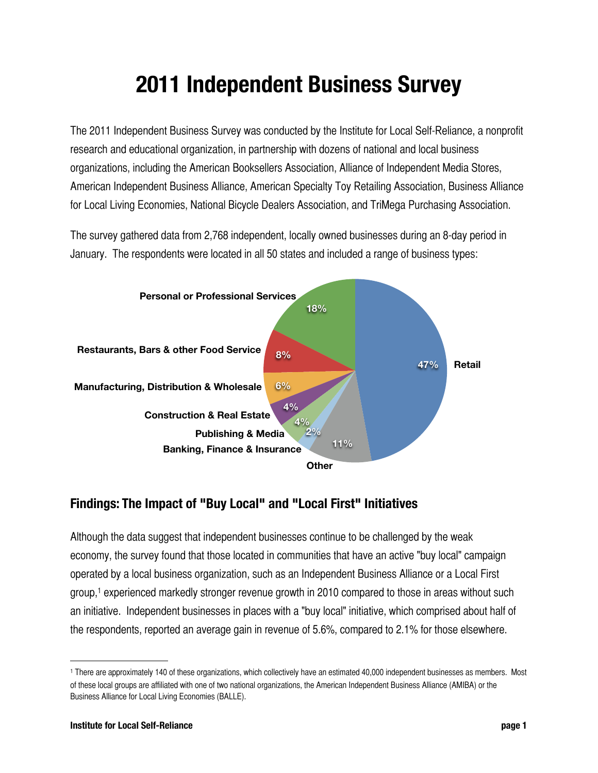## **2011 Independent Business Survey**

The 2011 Independent Business Survey was conducted by the Institute for Local Self-Reliance, a nonprofit research and educational organization, in partnership with dozens of national and local business organizations, including the American Booksellers Association, Alliance of Independent Media Stores, American Independent Business Alliance, American Specialty Toy Retailing Association, Business Alliance for Local Living Economies, National Bicycle Dealers Association, and TriMega Purchasing Association.

The survey gathered data from 2,768 independent, locally owned businesses during an 8-day period in January. The respondents were located in all 50 states and included a range of business types:



## **Findings: The Impact of "Buy Local" and "Local First" Initiatives**

Although the data suggest that independent businesses continue to be challenged by the weak economy, the survey found that those located in communities that have an active "buy local" campaign operated by a local business organization, such as an Independent Business Alliance or a Local First group,[1](#page-0-0) experienced markedly stronger revenue growth in 2010 compared to those in areas without such an initiative. Independent businesses in places with a "buy local" initiative, which comprised about half of the respondents, reported an average gain in revenue of 5.6%, compared to 2.1% for those elsewhere.

<span id="page-0-0"></span><sup>1</sup> There are approximately 140 of these organizations, which collectively have an estimated 40,000 independent businesses as members. Most of these local groups are affiliated with one of two national organizations, the American Independent Business Alliance (AMIBA) or the Business Alliance for Local Living Economies (BALLE).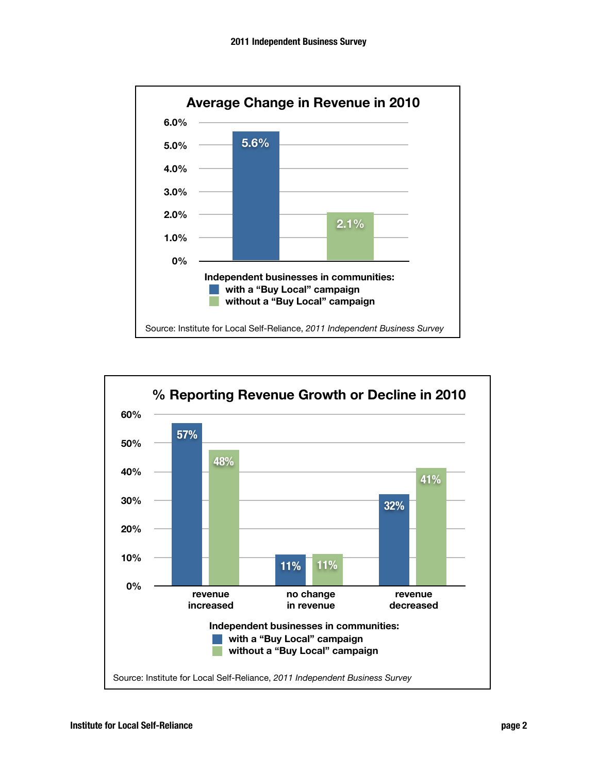

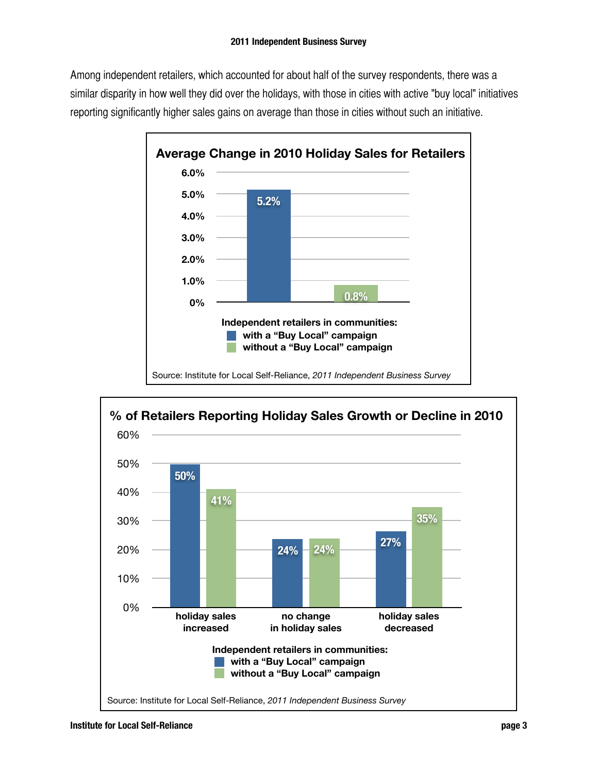Among independent retailers, which accounted for about half of the survey respondents, there was a similar disparity in how well they did over the holidays, with those in cities with active "buy local" initiatives reporting significantly higher sales gains on average than those in cities without such an initiative.



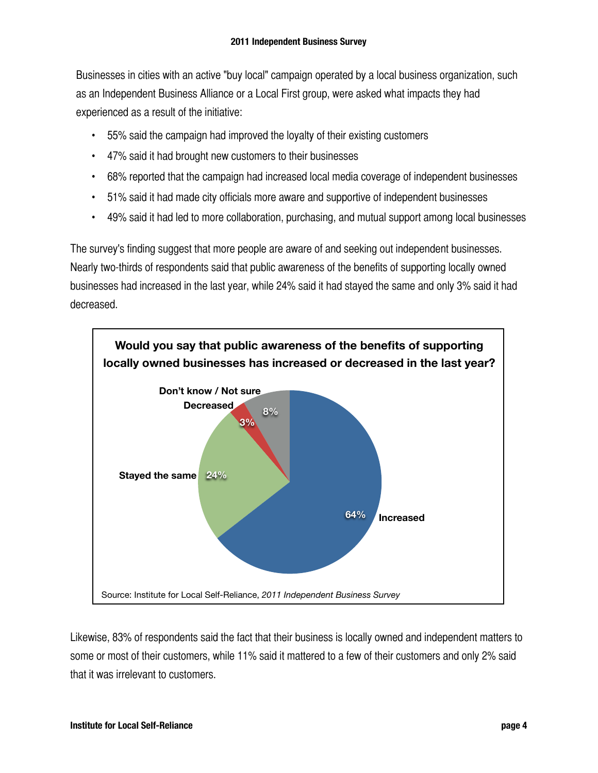Businesses in cities with an active "buy local" campaign operated by a local business organization, such as an Independent Business Alliance or a Local First group, were asked what impacts they had experienced as a result of the initiative:

- 55% said the campaign had improved the loyalty of their existing customers
- 47% said it had brought new customers to their businesses
- 68% reported that the campaign had increased local media coverage of independent businesses
- 51% said it had made city officials more aware and supportive of independent businesses
- 49% said it had led to more collaboration, purchasing, and mutual support among local businesses

The survey's finding suggest that more people are aware of and seeking out independent businesses. Nearly two-thirds of respondents said that public awareness of the benefits of supporting locally owned businesses had increased in the last year, while 24% said it had stayed the same and only 3% said it had decreased.



Likewise, 83% of respondents said the fact that their business is locally owned and independent matters to some or most of their customers, while 11% said it mattered to a few of their customers and only 2% said that it was irrelevant to customers.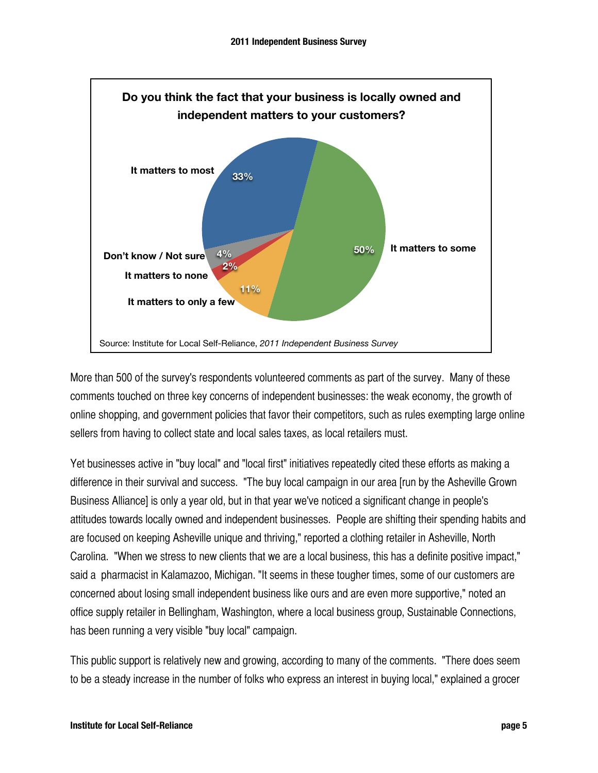

More than 500 of the survey's respondents volunteered comments as part of the survey. Many of these comments touched on three key concerns of independent businesses: the weak economy, the growth of online shopping, and government policies that favor their competitors, such as rules exempting large online sellers from having to collect state and local sales taxes, as local retailers must.

Yet businesses active in "buy local" and "local first" initiatives repeatedly cited these efforts as making a difference in their survival and success. "The buy local campaign in our area [run by the Asheville Grown Business Alliance] is only a year old, but in that year we've noticed a significant change in people's attitudes towards locally owned and independent businesses. People are shifting their spending habits and are focused on keeping Asheville unique and thriving," reported a clothing retailer in Asheville, North Carolina. "When we stress to new clients that we are a local business, this has a definite positive impact," said a pharmacist in Kalamazoo, Michigan. "It seems in these tougher times, some of our customers are concerned about losing small independent business like ours and are even more supportive," noted an office supply retailer in Bellingham, Washington, where a local business group, Sustainable Connections, has been running a very visible "buy local" campaign.

This public support is relatively new and growing, according to many of the comments. "There does seem to be a steady increase in the number of folks who express an interest in buying local," explained a grocer